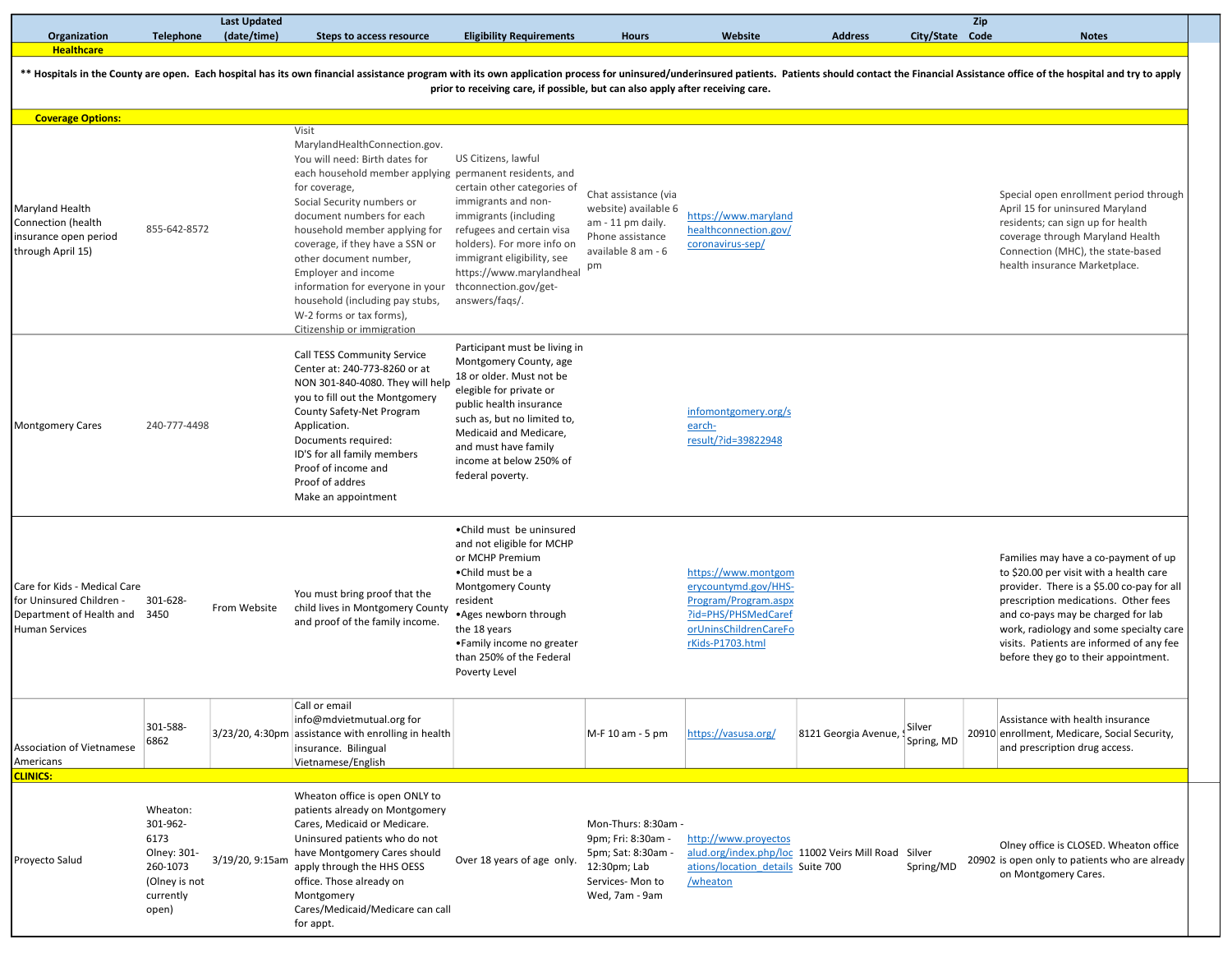| Organization                                                                                                       | <b>Telephone</b>                                                                               | (date/time)     | Steps to access resource                                                                                                                                                                                                                                                                                                                                                                                                                                              | <b>Eligibility Requirements</b>                                                                                                                                                                                                                                           | <b>Hours</b>                                                                                                       | Website                                                                                                                                 | <b>Address</b>                            | City/State Code | <b>Notes</b>                                                                                                                                                                                                                                                                                                                               |
|--------------------------------------------------------------------------------------------------------------------|------------------------------------------------------------------------------------------------|-----------------|-----------------------------------------------------------------------------------------------------------------------------------------------------------------------------------------------------------------------------------------------------------------------------------------------------------------------------------------------------------------------------------------------------------------------------------------------------------------------|---------------------------------------------------------------------------------------------------------------------------------------------------------------------------------------------------------------------------------------------------------------------------|--------------------------------------------------------------------------------------------------------------------|-----------------------------------------------------------------------------------------------------------------------------------------|-------------------------------------------|-----------------|--------------------------------------------------------------------------------------------------------------------------------------------------------------------------------------------------------------------------------------------------------------------------------------------------------------------------------------------|
| <b>Healthcare</b>                                                                                                  |                                                                                                |                 |                                                                                                                                                                                                                                                                                                                                                                                                                                                                       | prior to receiving care, if possible, but can also apply after receiving care.                                                                                                                                                                                            |                                                                                                                    |                                                                                                                                         |                                           |                 | ** Hospitals in the County are open. Each hospital has its own financial assistance program with its own application process for uninsured/underinsured patients. Patients should contact the Financial Assistance office of t                                                                                                             |
| <b>Coverage Options:</b>                                                                                           |                                                                                                |                 |                                                                                                                                                                                                                                                                                                                                                                                                                                                                       |                                                                                                                                                                                                                                                                           |                                                                                                                    |                                                                                                                                         |                                           |                 |                                                                                                                                                                                                                                                                                                                                            |
| Maryland Health<br>Connection (health<br>insurance open period<br>through April 15)                                | 855-642-8572                                                                                   |                 | Visit<br>MarylandHealthConnection.gov.<br>You will need: Birth dates for<br>each household member applying permanent residents, and<br>for coverage,<br>Social Security numbers or<br>document numbers for each<br>household member applying for<br>coverage, if they have a SSN or<br>other document number,<br>Employer and income<br>information for everyone in your<br>household (including pay stubs,<br>W-2 forms or tax forms),<br>Citizenship or immigration | US Citizens, lawful<br>certain other categories of<br>immigrants and non-<br>immigrants (including<br>refugees and certain visa<br>holders). For more info on<br>immigrant eligibility, see<br>https://www.marylandheal<br>thconnection.gov/get-<br>answers/fags/.        | Chat assistance (via<br>website) available 6<br>am - 11 pm daily.<br>Phone assistance<br>available 8 am - 6<br>pm  | https://www.maryland<br>healthconnection.gov/<br>coronavirus-sep/                                                                       |                                           |                 | Special open enrollment period through<br>April 15 for uninsured Maryland<br>residents; can sign up for health<br>coverage through Maryland Health<br>Connection (MHC), the state-based<br>health insurance Marketplace.                                                                                                                   |
| <b>Montgomery Cares</b>                                                                                            | 240-777-4498                                                                                   |                 | Call TESS Community Service<br>Center at: 240-773-8260 or at<br>NON 301-840-4080. They will help<br>you to fill out the Montgomery<br>County Safety-Net Program<br>Application.<br>Documents required:<br>ID'S for all family members<br>Proof of income and<br>Proof of addres<br>Make an appointment                                                                                                                                                                | Participant must be living in<br>Montgomery County, age<br>18 or older. Must not be<br>elegible for private or<br>public health insurance<br>such as, but no limited to,<br>Medicaid and Medicare,<br>and must have family<br>income at below 250% of<br>federal poverty. |                                                                                                                    | infomontgomery.org/s<br>earch-<br>result/?id=39822948                                                                                   |                                           |                 |                                                                                                                                                                                                                                                                                                                                            |
| Care for Kids - Medical Care<br>for Uninsured Children -<br>Department of Health and 3450<br><b>Human Services</b> | 301-628-                                                                                       | From Website    | You must bring proof that the<br>child lives in Montgomery County<br>and proof of the family income.                                                                                                                                                                                                                                                                                                                                                                  | •Child must be uninsured<br>and not eligible for MCHP<br>or MCHP Premium<br>•Child must be a<br>Montgomery County<br>resident<br>• Ages newborn through<br>the 18 years<br>•Family income no greater<br>than 250% of the Federal<br>Poverty Level                         |                                                                                                                    | https://www.montgom<br>erycountymd.gov/HHS-<br>Program/Program.aspx<br>?id=PHS/PHSMedCaref<br>orUninsChildrenCareFo<br>rKids-P1703.html |                                           |                 | Families may have a co-payment of up<br>to \$20.00 per visit with a health care<br>provider. There is a \$5.00 co-pay for all<br>prescription medications. Other fees<br>and co-pays may be charged for lab<br>work, radiology and some specialty care<br>visits. Patients are informed of any fee<br>before they go to their appointment. |
| Association of Vietnamese<br>Americans                                                                             | 301-588-<br>6862                                                                               |                 | Call or email<br>info@mdvietmutual.org for<br>3/23/20, 4:30pm assistance with enrolling in health<br>insurance. Bilingual<br>Vietnamese/English                                                                                                                                                                                                                                                                                                                       |                                                                                                                                                                                                                                                                           | M-F 10 am - 5 pm                                                                                                   | https://vasusa.org/                                                                                                                     | 8121 Georgia Avenue, Silver<br>Spring, MD |                 | Assistance with health insurance<br>20910 enrollment, Medicare, Social Security,<br>and prescription drug access.                                                                                                                                                                                                                          |
| <b>CLINICS:</b><br>Proyecto Salud                                                                                  | Wheaton:<br>301-962-<br>6173<br>Olney: 301-<br>260-1073<br>(Olney is not<br>currently<br>open) | 3/19/20, 9:15am | Wheaton office is open ONLY to<br>patients already on Montgomery<br>Cares, Medicaid or Medicare.<br>Uninsured patients who do not<br>have Montgomery Cares should<br>apply through the HHS OESS<br>office. Those already on<br>Montgomery<br>Cares/Medicaid/Medicare can call<br>for appt.                                                                                                                                                                            | Over 18 years of age only.                                                                                                                                                                                                                                                | Mon-Thurs: 8:30am -<br>9pm; Fri: 8:30am -<br>5pm; Sat: 8:30am<br>12:30pm; Lab<br>Services-Mon to<br>Wed, 7am - 9am | http://www.proyectos<br>alud.org/index.php/loc 11002 Veirs Mill Road Silver<br>ations/location details Suite 700<br>/wheaton            |                                           | Spring/MD       | Olney office is CLOSED. Wheaton office<br>20902 is open only to patients who are already<br>on Montgomery Cares.                                                                                                                                                                                                                           |

Zip

Last Updated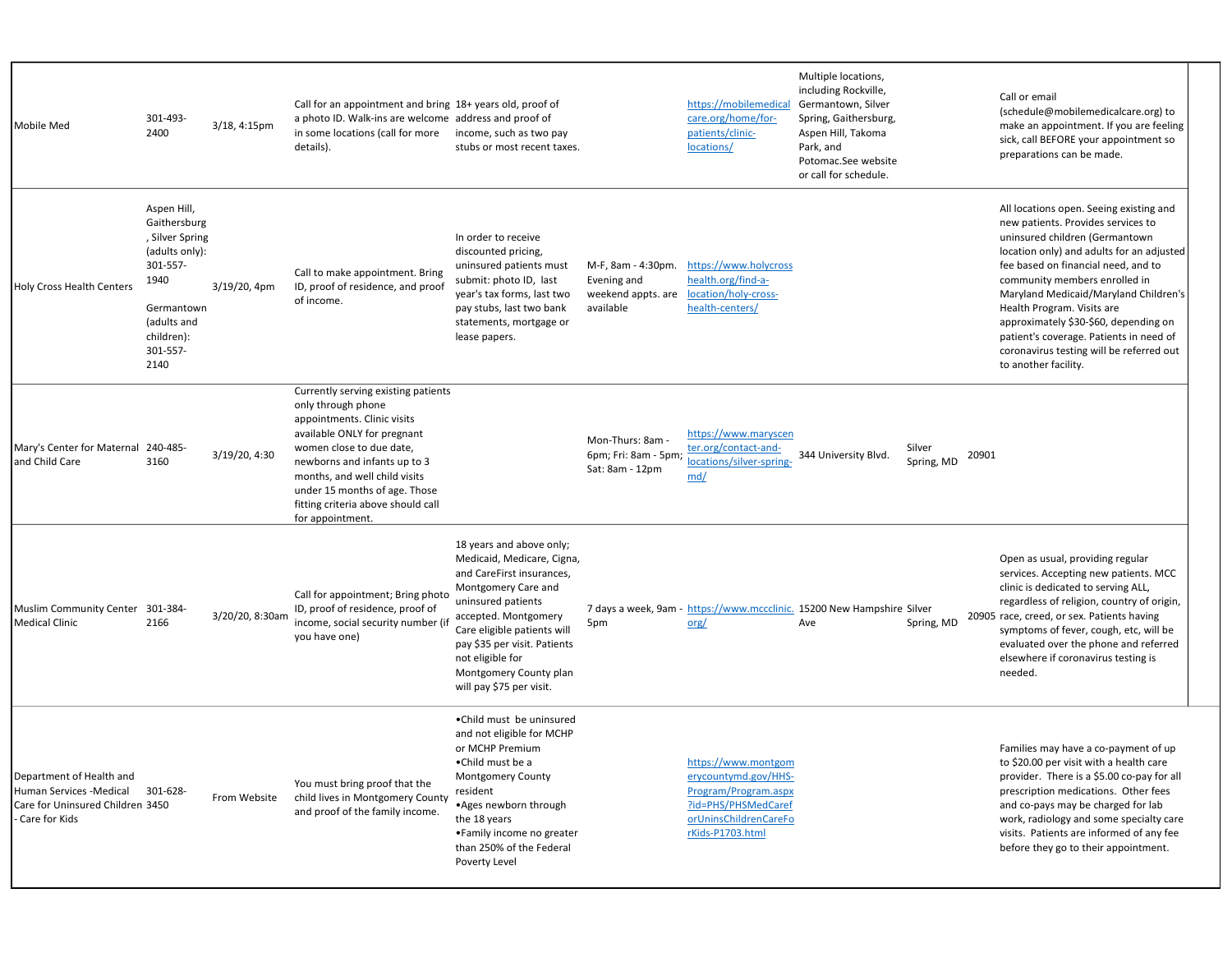| Mobile Med                                                                                               | 301-493-<br>2400                                                                                                                                    | 3/18, 4:15pm    | Call for an appointment and bring 18+ years old, proof of<br>a photo ID. Walk-ins are welcome address and proof of<br>in some locations (call for more income, such as two pay<br>details).                                                                                                                     | stubs or most recent taxes.                                                                                                                                                                                                                                                                       |                                                                      | https://mobilemedical<br>care.org/home/for-<br>patients/clinic-<br>locations/                                                           | Multiple locations,<br>including Rockville,<br>Germantown, Silver<br>Spring, Gaithersburg,<br>Aspen Hill, Takoma<br>Park, and<br>Potomac.See website<br>or call for schedule. |                               | Call or email<br>(schedule@mobilemedicalcare.org) to<br>make an appointment. If you are feeling<br>sick, call BEFORE your appointment so<br>preparations can be made.                                                                                                                                                                                                                                                                                               |
|----------------------------------------------------------------------------------------------------------|-----------------------------------------------------------------------------------------------------------------------------------------------------|-----------------|-----------------------------------------------------------------------------------------------------------------------------------------------------------------------------------------------------------------------------------------------------------------------------------------------------------------|---------------------------------------------------------------------------------------------------------------------------------------------------------------------------------------------------------------------------------------------------------------------------------------------------|----------------------------------------------------------------------|-----------------------------------------------------------------------------------------------------------------------------------------|-------------------------------------------------------------------------------------------------------------------------------------------------------------------------------|-------------------------------|---------------------------------------------------------------------------------------------------------------------------------------------------------------------------------------------------------------------------------------------------------------------------------------------------------------------------------------------------------------------------------------------------------------------------------------------------------------------|
| <b>Holy Cross Health Centers</b>                                                                         | Aspen Hill,<br>Gaithersburg<br>, Silver Spring<br>(adults only):<br>301-557-<br>1940<br>Germantown<br>(adults and<br>children):<br>301-557-<br>2140 | 3/19/20, 4pm    | Call to make appointment. Bring<br>ID, proof of residence, and proof<br>of income.                                                                                                                                                                                                                              | In order to receive<br>discounted pricing,<br>uninsured patients must<br>submit: photo ID, last<br>year's tax forms, last two<br>pay stubs, last two bank<br>statements, mortgage or<br>lease papers.                                                                                             | M-F, 8am - 4:30pm.<br>Evening and<br>weekend appts. are<br>available | https://www.holycross<br>health.org/find-a-<br>location/holy-cross-<br>health-centers/                                                  |                                                                                                                                                                               |                               | All locations open. Seeing existing and<br>new patients. Provides services to<br>uninsured children (Germantown<br>location only) and adults for an adjusted<br>fee based on financial need, and to<br>community members enrolled in<br>Maryland Medicaid/Maryland Children's<br>Health Program. Visits are<br>approximately \$30-\$60, depending on<br>patient's coverage. Patients in need of<br>coronavirus testing will be referred out<br>to another facility. |
| Mary's Center for Maternal 240-485-<br>and Child Care                                                    | 3160                                                                                                                                                | 3/19/20, 4:30   | Currently serving existing patients<br>only through phone<br>appointments. Clinic visits<br>available ONLY for pregnant<br>women close to due date,<br>newborns and infants up to 3<br>months, and well child visits<br>under 15 months of age. Those<br>fitting criteria above should call<br>for appointment. |                                                                                                                                                                                                                                                                                                   | Mon-Thurs: 8am -<br>6pm; Fri: 8am - 5pm;<br>Sat: 8am - 12pm          | https://www.maryscen<br>ter.org/contact-and-<br>locations/silver-spring-<br>md/                                                         | 344 University Blvd.                                                                                                                                                          | Silver<br>20901<br>Spring, MD |                                                                                                                                                                                                                                                                                                                                                                                                                                                                     |
| Muslim Community Center 301-384-<br><b>Medical Clinic</b>                                                | 2166                                                                                                                                                | 3/20/20, 8:30am | Call for appointment; Bring photo<br>ID, proof of residence, proof of<br>income, social security number (if<br>you have one)                                                                                                                                                                                    | 18 years and above only;<br>Medicaid, Medicare, Cigna,<br>and CareFirst insurances,<br>Montgomery Care and<br>uninsured patients<br>accepted. Montgomery<br>Care eligible patients will<br>pay \$35 per visit. Patients<br>not eligible for<br>Montgomery County plan<br>will pay \$75 per visit. | 5pm                                                                  | 7 days a week, 9am - https://www.mccclinic. 15200 New Hampshire Silver<br>$\alpha$                                                      | Ave                                                                                                                                                                           | Spring, MD                    | Open as usual, providing regular<br>services. Accepting new patients. MCC<br>clinic is dedicated to serving ALL,<br>regardless of religion, country of origin,<br>20905 race, creed, or sex. Patients having<br>symptoms of fever, cough, etc, will be<br>evaluated over the phone and referred<br>elsewhere if coronavirus testing is<br>needed.                                                                                                                   |
| Department of Health and<br>Human Services -Medical<br>Care for Uninsured Children 3450<br>Care for Kids | 301-628-                                                                                                                                            | From Website    | You must bring proof that the<br>child lives in Montgomery County<br>and proof of the family income.                                                                                                                                                                                                            | •Child must be uninsured<br>and not eligible for MCHP<br>or MCHP Premium<br>•Child must be a<br>Montgomery County<br>resident<br>.Ages newborn through<br>the 18 years<br>•Family income no greater<br>than 250% of the Federal<br>Poverty Level                                                  |                                                                      | https://www.montgom<br>erycountymd.gov/HHS-<br>Program/Program.aspx<br>?id=PHS/PHSMedCaref<br>orUninsChildrenCareFo<br>rKids-P1703.html |                                                                                                                                                                               |                               | Families may have a co-payment of up<br>to \$20.00 per visit with a health care<br>provider. There is a \$5.00 co-pay for all<br>prescription medications. Other fees<br>and co-pays may be charged for lab<br>work, radiology and some specialty care<br>visits. Patients are informed of any fee<br>before they go to their appointment.                                                                                                                          |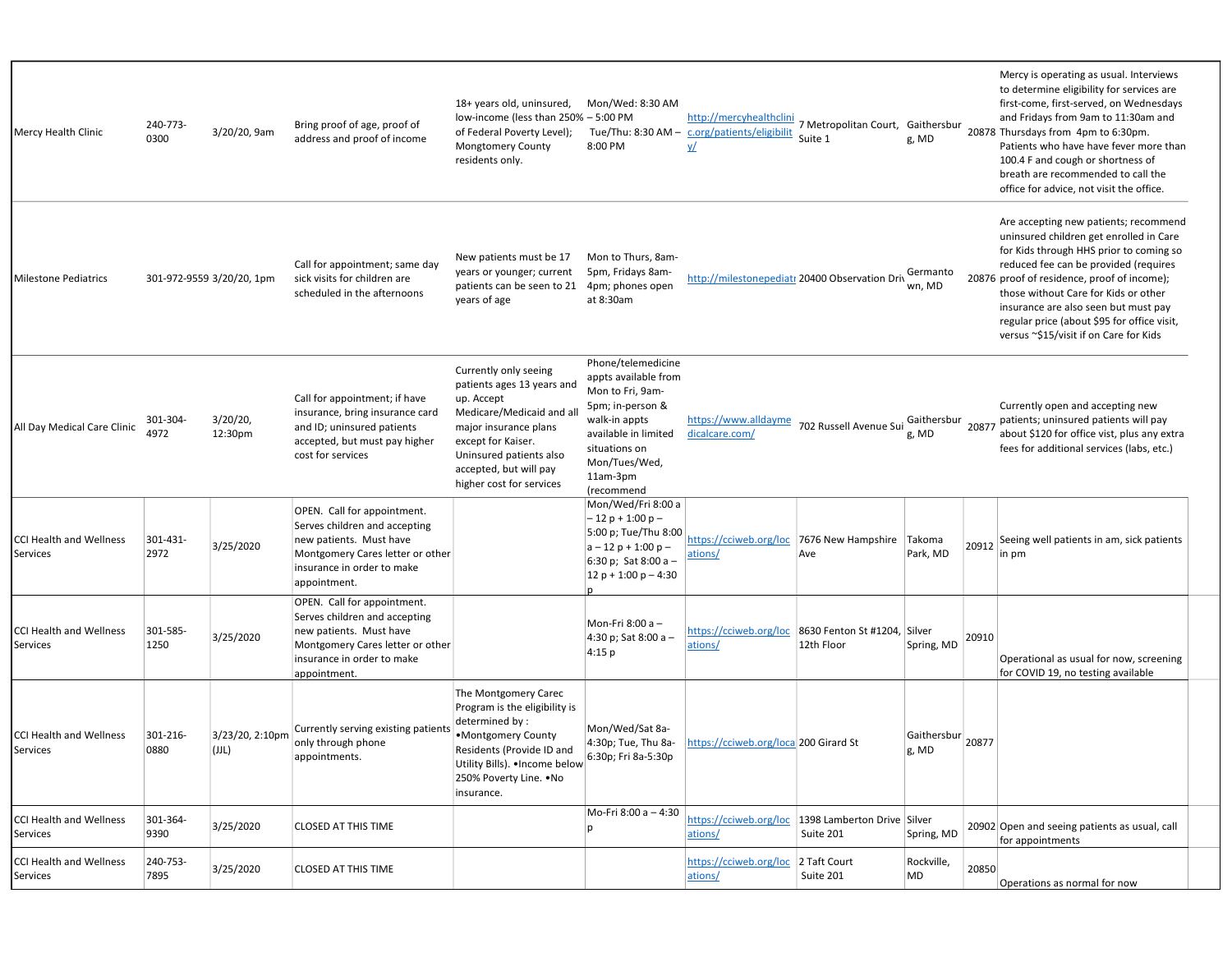| Mercy Health Clinic                        | 240-773-<br>0300 | 3/20/20, 9am              | Bring proof of age, proof of<br>address and proof of income                                                                                                               | 18+ years old, uninsured,<br>low-income (less than 250% - 5:00 PM<br>of Federal Poverty Level);<br><b>Mongtomery County</b><br>residents only.                                                                                | Mon/Wed: 8:30 AM<br>8:00 PM                                                                                                                                                             | http://mercyhealthclini<br>Tue/Thu: 8:30 AM - c.org/patients/eligibilit<br>yΔ | Suite 1                                                           | g, MD                         |       | Mercy is operating as usual. Interviews<br>to determine eligibility for services are<br>first-come, first-served, on Wednesdays<br>and Fridays from 9am to 11:30am and<br>7 Metropolitan Court, Gaithersbur 20878 Thursdays from 4pm to 6:30pm.<br>Patients who have have fever more than<br>100.4 F and cough or shortness of<br>breath are recommended to call the<br>office for advice, not visit the office. |
|--------------------------------------------|------------------|---------------------------|---------------------------------------------------------------------------------------------------------------------------------------------------------------------------|-------------------------------------------------------------------------------------------------------------------------------------------------------------------------------------------------------------------------------|-----------------------------------------------------------------------------------------------------------------------------------------------------------------------------------------|-------------------------------------------------------------------------------|-------------------------------------------------------------------|-------------------------------|-------|------------------------------------------------------------------------------------------------------------------------------------------------------------------------------------------------------------------------------------------------------------------------------------------------------------------------------------------------------------------------------------------------------------------|
| <b>Milestone Pediatrics</b>                |                  | 301-972-9559 3/20/20, 1pm | Call for appointment; same day<br>sick visits for children are<br>scheduled in the afternoons                                                                             | New patients must be 17<br>years or younger; current<br>patients can be seen to 21<br>years of age                                                                                                                            | Mon to Thurs, 8am-<br>5pm, Fridays 8am-<br>4pm; phones open<br>at 8:30am                                                                                                                |                                                                               | http://milestonepediatr 20400 Observation Driv                    | Germanto<br>wn, MD            |       | Are accepting new patients; recommend<br>uninsured children get enrolled in Care<br>for Kids through HHS prior to coming so<br>reduced fee can be provided (requires<br>20876 proof of residence, proof of income);<br>those without Care for Kids or other<br>insurance are also seen but must pay<br>regular price (about \$95 for office visit,<br>versus ~\$15/visit if on Care for Kids                     |
| All Day Medical Care Clinic                | 301-304-<br>4972 | $3/20/20$ ,<br>12:30pm    | Call for appointment; if have<br>insurance, bring insurance card<br>and ID; uninsured patients<br>accepted, but must pay higher<br>cost for services                      | Currently only seeing<br>patients ages 13 years and<br>up. Accept<br>Medicare/Medicaid and al<br>major insurance plans<br>except for Kaiser.<br>Uninsured patients also<br>accepted, but will pay<br>higher cost for services | Phone/telemedicine<br>appts available from<br>Mon to Fri, 9am-<br>5pm; in-person &<br>walk-in appts<br>available in limited<br>situations on<br>Mon/Tues/Wed,<br>11am-3pm<br>(recommend | https://www.alldayme<br>dicalcare.com/                                        | 702 Russell Avenue Sui                                            | g, MD                         |       | Currently open and accepting new<br>Gaithersbur<br>20877 patients; uninsured patients will pay<br>about \$120 for office vist, plus any extra<br>fees for additional services (labs, etc.)                                                                                                                                                                                                                       |
| <b>CCI Health and Wellness</b><br>Services | 301-431-<br>2972 | 3/25/2020                 | OPEN. Call for appointment.<br>Serves children and accepting<br>new patients. Must have<br>Montgomery Cares letter or other<br>insurance in order to make<br>appointment. |                                                                                                                                                                                                                               | Mon/Wed/Fri 8:00 a<br>$-12p + 1:00p -$<br>5:00 p; Tue/Thu 8:00<br>$a - 12 p + 1:00 p -$<br>6:30 p; Sat 8:00 a $-$<br>$12 p + 1:00 p - 4:30$<br>D.                                       | https://cciweb.org/loc<br>ations/                                             | 7676 New Hampshire Takoma<br>Ave                                  | Park, MD                      | 20912 | Seeing well patients in am, sick patients<br>in pm                                                                                                                                                                                                                                                                                                                                                               |
| <b>CCI Health and Wellness</b><br>Services | 301-585-<br>1250 | 3/25/2020                 | OPEN. Call for appointment.<br>Serves children and accepting<br>new patients. Must have<br>Montgomery Cares letter or other<br>insurance in order to make<br>appointment. |                                                                                                                                                                                                                               | Mon-Fri 8:00 a -<br>4:30 p; Sat 8:00 a -<br>4:15 p                                                                                                                                      | ations/                                                                       | https://cciweb.org/loc 8630 Fenton St #1204, Silver<br>12th Floor | Spring, MD                    | 20910 | Operational as usual for now, screening<br>for COVID 19, no testing available                                                                                                                                                                                                                                                                                                                                    |
| <b>CCI Health and Wellness</b><br>Services | 301-216-<br>0880 | 3/23/20, 2:10pm<br>(JJL)  | Currently serving existing patients<br>only through phone<br>appointments.                                                                                                | The Montgomery Carec<br>Program is the eligibility is<br>determined by:<br>•Montgomery County<br>Residents (Provide ID and<br>Utility Bills). . Income below<br>250% Poverty Line. . No<br>insurance.                         | Mon/Wed/Sat 8a-<br>4:30p; Tue, Thu 8a-<br>6:30p; Fri 8a-5:30p                                                                                                                           | https://cciweb.org/loca 200 Girard St                                         |                                                                   | Gaithersbur 20877<br>$g$ , MD |       |                                                                                                                                                                                                                                                                                                                                                                                                                  |
| <b>CCI Health and Wellness</b><br>Services | 301-364-<br>9390 | 3/25/2020                 | <b>CLOSED AT THIS TIME</b>                                                                                                                                                |                                                                                                                                                                                                                               | Mo-Fri 8:00 a - 4:30<br> p                                                                                                                                                              | https://cciweb.org/loc<br>ations/                                             | 1398 Lamberton Drive Silver<br>Suite 201                          | Spring, MD                    |       | 20902 Open and seeing patients as usual, call<br>for appointments                                                                                                                                                                                                                                                                                                                                                |
| CCI Health and Wellness<br>Services        | 240-753-<br>7895 | 3/25/2020                 | <b>CLOSED AT THIS TIME</b>                                                                                                                                                |                                                                                                                                                                                                                               |                                                                                                                                                                                         | https://cciweb.org/loc<br>ations/                                             | 2 Taft Court<br>Suite 201                                         | Rockville,<br>MD              | 20850 | Operations as normal for now                                                                                                                                                                                                                                                                                                                                                                                     |